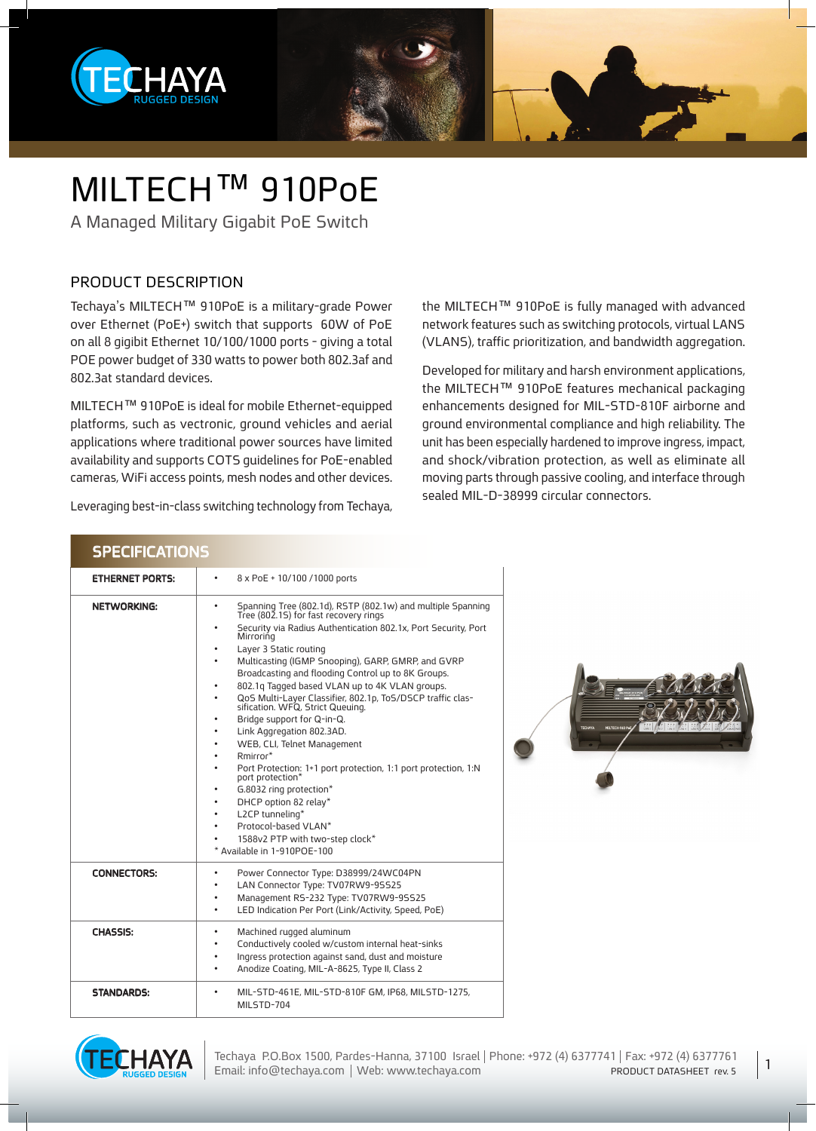

### MILTECH™ 910PoE

A Managed Military Gigabit PoE Switch

#### PRODUCT DESCRIPTION

Techaya's MILTECH<sup>™</sup> 910PoE is a military-grade Power over Ethernet (PoE+) switch that supports 60W of PoE on all 8 gigibit Ethernet 10/100/1000 ports - giving a total POE power budget of 330 watts to power both 802.3 af and 802.3at standard devices.

MILTECH™ 910PoE is ideal for mobile Ethernet-equipped platforms, such as vectronic, ground vehicles and aerial applications where traditional power sources have limited availability and supports COTS guidelines for PoE-enabled cameras, WiFi access points, mesh nodes and other devices.

Leveraging best-in-class switching technology from Techaya,

the MILTECH™ 910PoE is fully managed with advanced network features such as switching protocols, virtual LANS (VLANS), traffic prioritization, and bandwidth aggregation.

Developed for military and harsh environment applications, the MILTECH™ 910PoE features mechanical packaging enhancements designed for MIL-STD-810F airborne and ground environmental compliance and high reliability. The unit has been especially hardened to improve ingress, impact, and shock/vibration protection, as well as eliminate all moving parts through passive cooling, and interface through sealed MIL-D-38999 circular connectors.

| <b>SPECIFICATIONS</b>  |                                                                                                                                                                                                                                                                                                                                                                                                                                                                                                                                                                                                                                                                                                                                                                                                                                                                                                                              |  |
|------------------------|------------------------------------------------------------------------------------------------------------------------------------------------------------------------------------------------------------------------------------------------------------------------------------------------------------------------------------------------------------------------------------------------------------------------------------------------------------------------------------------------------------------------------------------------------------------------------------------------------------------------------------------------------------------------------------------------------------------------------------------------------------------------------------------------------------------------------------------------------------------------------------------------------------------------------|--|
| <b>ETHERNET PORTS:</b> | 8 x PoE + 10/100 /1000 ports<br>$\bullet$                                                                                                                                                                                                                                                                                                                                                                                                                                                                                                                                                                                                                                                                                                                                                                                                                                                                                    |  |
| <b>NETWORKING:</b>     | Spanning Tree (802.1d), RSTP (802.1w) and multiple Spanning<br>Tree (802.15) for fast recovery rings<br>$\bullet$<br>Security via Radius Authentication 802.1x, Port Security, Port<br>$\bullet$<br>Mirroring<br>Layer 3 Static routing<br>$\bullet$<br>Multicasting (IGMP Snooping), GARP, GMRP, and GVRP<br>٠<br>Broadcasting and flooding Control up to 8K Groups.<br>802.1q Tagged based VLAN up to 4K VLAN groups.<br>QoS Multi-Layer Classifier, 802.1p, ToS/DSCP traffic clas-<br>sification. WFQ, Strict Queuing.<br>$\bullet$<br>Bridge support for Q-in-Q.<br>Link Aggregation 802.3AD.<br>٠<br>WEB, CLI, Telnet Management<br>٠<br>Rmirror*<br>Port Protection: 1+1 port protection, 1:1 port protection, 1:N<br>port protection*<br>G.8032 ring protection*<br>٠<br>DHCP option 82 relay*<br>٠<br>L2CP tunneling*<br>٠<br>Protocol-based VLAN*<br>1588v2 PTP with two-step clock*<br>* Available in 1-910POE-100 |  |
| <b>CONNECTORS:</b>     | Power Connector Type: D38999/24WC04PN<br>٠<br>LAN Connector Type: TV07RW9-95525<br>Management RS-232 Type: TV07RW9-95525<br>٠<br>LED Indication Per Port (Link/Activity, Speed, PoE)<br>$\bullet$                                                                                                                                                                                                                                                                                                                                                                                                                                                                                                                                                                                                                                                                                                                            |  |
| <b>CHASSIS:</b>        | Machined rugged aluminum<br>٠<br>Conductively cooled w/custom internal heat-sinks<br>٠<br>Ingress protection against sand, dust and moisture<br>٠<br>Anodize Coating, MIL-A-8625, Type II, Class 2                                                                                                                                                                                                                                                                                                                                                                                                                                                                                                                                                                                                                                                                                                                           |  |
| <b>STANDARDS:</b>      | MIL-STD-461E, MIL-STD-810F GM, IP68, MILSTD-1275,<br>MILSTD-704                                                                                                                                                                                                                                                                                                                                                                                                                                                                                                                                                                                                                                                                                                                                                                                                                                                              |  |



1

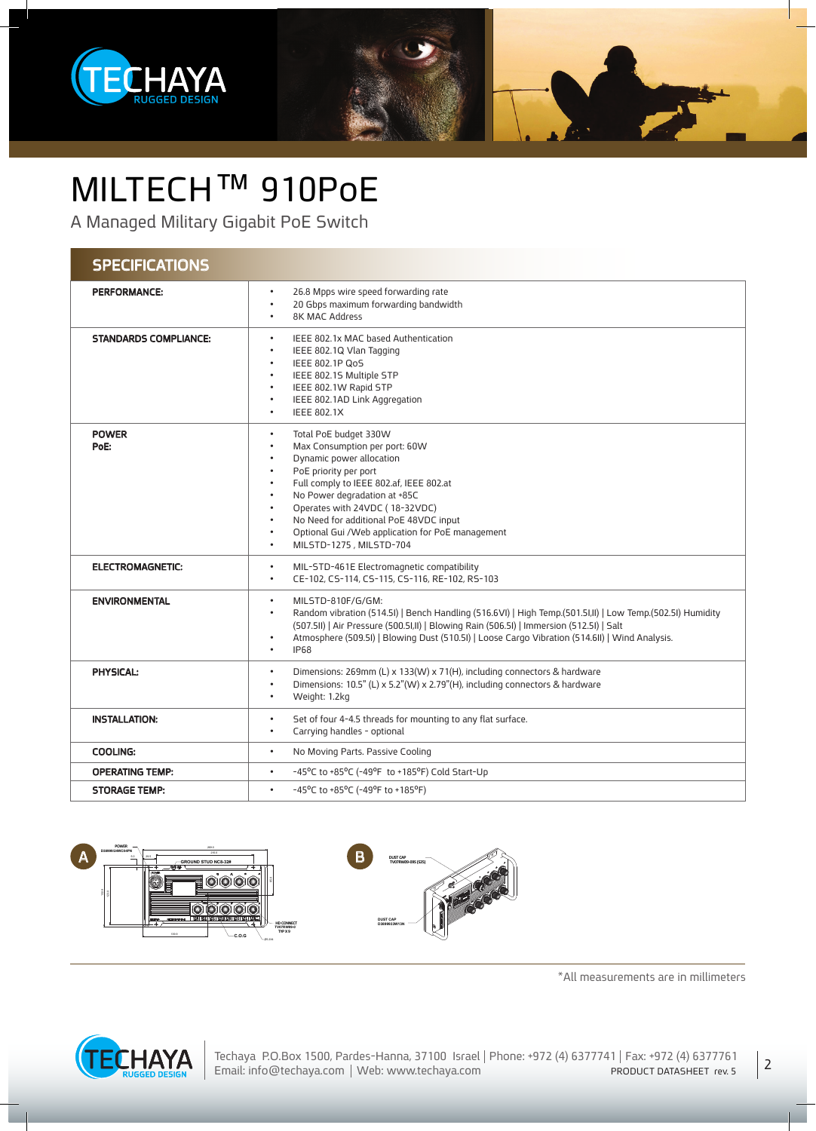

## MILTECH™ 910PoE

A Managed Military Gigabit PoE Switch

#### **SPECIFICATIONS**

| <b>PERFORMANCE:</b>          | 26.8 Mpps wire speed forwarding rate<br>$\bullet$<br>20 Gbps maximum forwarding bandwidth<br>$\bullet$<br><b>8K MAC Address</b><br>$\bullet$                                                                                                                                                                                                                                                                                                                                        |
|------------------------------|-------------------------------------------------------------------------------------------------------------------------------------------------------------------------------------------------------------------------------------------------------------------------------------------------------------------------------------------------------------------------------------------------------------------------------------------------------------------------------------|
| <b>STANDARDS COMPLIANCE:</b> | IEEE 802.1x MAC based Authentication<br>$\bullet$<br>IEEE 802.1Q Vlan Tagging<br>$\bullet$<br>IEEE 802.1P QoS<br>$\bullet$<br>IEEE 802.15 Multiple STP<br>IEEE 802.1W Rapid STP<br>$\bullet$<br>IEEE 802.1AD Link Aggregation<br>$\bullet$<br><b>IEEE 802.1X</b><br>$\bullet$                                                                                                                                                                                                       |
| <b>POWER</b><br>PoE:         | Total PoE budget 330W<br>$\bullet$<br>Max Consumption per port: 60W<br>$\bullet$<br>Dynamic power allocation<br>$\bullet$<br>PoE priority per port<br>$\bullet$<br>Full comply to IEEE 802.af, IEEE 802.at<br>$\bullet$<br>No Power degradation at +85C<br>$\bullet$<br>Operates with 24VDC (18-32VDC)<br>$\bullet$<br>No Need for additional PoE 48VDC input<br>$\bullet$<br>Optional Gui /Web application for PoE management<br>$\bullet$<br>MILSTD-1275, MILSTD-704<br>$\bullet$ |
| <b>ELECTROMAGNETIC:</b>      | MIL-STD-461E Electromagnetic compatibility<br>$\bullet$<br>CE-102, CS-114, CS-115, CS-116, RE-102, RS-103<br>$\bullet$                                                                                                                                                                                                                                                                                                                                                              |
| <b>ENVIRONMENTAL</b>         | MILSTD-810F/G/GM:<br>$\bullet$<br>Random vibration (514.5I)   Bench Handling (516.6VI)   High Temp. (501.5I, II)   Low Temp. (502.5I) Humidity<br>$\bullet$<br>(507.5II)   Air Pressure (500.5I, II)   Blowing Rain (506.5I)   Immersion (512.5I)   Salt<br>Atmosphere (509.51)   Blowing Dust (510.51)   Loose Cargo Vibration (514.611)   Wind Analysis.<br>$\bullet$<br><b>IP68</b><br>$\bullet$                                                                                 |
| <b>PHYSICAL:</b>             | Dimensions: 269mm (L) x 133(W) x 71(H), including connectors & hardware<br>$\bullet$<br>Dimensions: 10.5" (L) x 5.2"(W) x 2.79"(H), including connectors & hardware<br>$\bullet$<br>Weight: 1.2kg<br>$\bullet$                                                                                                                                                                                                                                                                      |
| <b>INSTALLATION:</b>         | Set of four 4-4.5 threads for mounting to any flat surface.<br>$\bullet$<br>Carrying handles - optional<br>$\bullet$                                                                                                                                                                                                                                                                                                                                                                |
| <b>COOLING:</b>              | No Moving Parts. Passive Cooling<br>$\bullet$                                                                                                                                                                                                                                                                                                                                                                                                                                       |
| <b>OPERATING TEMP:</b>       | -45°C to +85°C (-49°F to +185°F) Cold Start-Up<br>$\bullet$                                                                                                                                                                                                                                                                                                                                                                                                                         |
| <b>STORAGE TEMP:</b>         | -45°C to +85°C (-49°F to +185°F)<br>$\bullet$                                                                                                                                                                                                                                                                                                                                                                                                                                       |



123.0



 $*$ All measurements are in millimeters

2